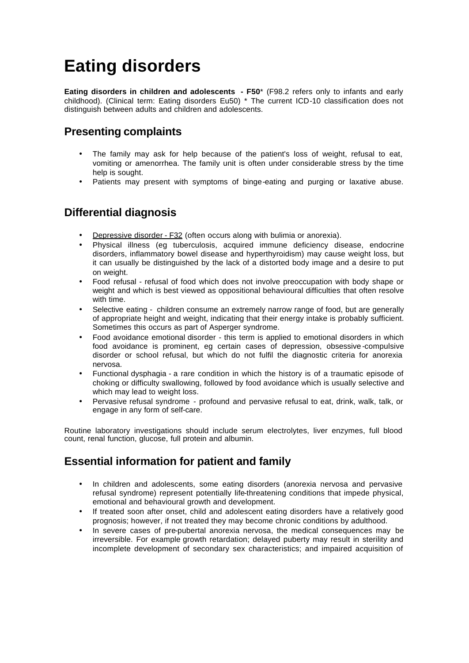# **Eating disorders**

**Eating disorders in children and adolescents - F50\*** (F98.2 refers only to infants and early childhood). (Clinical term: Eating disorders Eu50) \* The current ICD-10 classification does not distinguish between adults and children and adolescents.

# **Presenting complaints**

- The family may ask for help because of the patient's loss of weight, refusal to eat, vomiting or amenorrhea. The family unit is often under considerable stress by the time help is sought.
- Patients may present with symptoms of binge-eating and purging or laxative abuse.

### **Differential diagnosis**

- **Depressive disorder F32 (often occurs along with bulimia or anorexia).**
- Physical illness (eg tuberculosis, acquired immune deficiency disease, endocrine disorders, inflammatory bowel disease and hyperthyroidism) may cause weight loss, but it can usually be distinguished by the lack of a distorted body image and a desire to put on weight.
- Food refusal refusal of food which does not involve preoccupation with body shape or weight and which is best viewed as oppositional behavioural difficulties that often resolve with time.
- Selective eating children consume an extremely narrow range of food, but are generally of appropriate height and weight, indicating that their energy intake is probably sufficient. Sometimes this occurs as part of Asperger syndrome.
- Food avoidance emotional disorder this term is applied to emotional disorders in which food avoidance is prominent, eg certain cases of depression, obsessive -compulsive disorder or school refusal, but which do not fulfil the diagnostic criteria for anorexia nervosa.
- Functional dysphagia a rare condition in which the history is of a traumatic episode of choking or difficulty swallowing, followed by food avoidance which is usually selective and which may lead to weight loss.
- Pervasive refusal syndrome profound and pervasive refusal to eat, drink, walk, talk, or engage in any form of self-care.

Routine laboratory investigations should include serum electrolytes, liver enzymes, full blood count, renal function, glucose, full protein and albumin.

# **Essential information for patient and family**

- In children and adolescents, some eating disorders (anorexia nervosa and pervasive refusal syndrome) represent potentially life-threatening conditions that impede physical, emotional and behavioural growth and development.
- If treated soon after onset, child and adolescent eating disorders have a relatively good prognosis; however, if not treated they may become chronic conditions by adulthood.
- In severe cases of pre-pubertal anorexia nervosa, the medical consequences may be irreversible. For example growth retardation; delayed puberty may result in sterility and incomplete development of secondary sex characteristics; and impaired acquisition of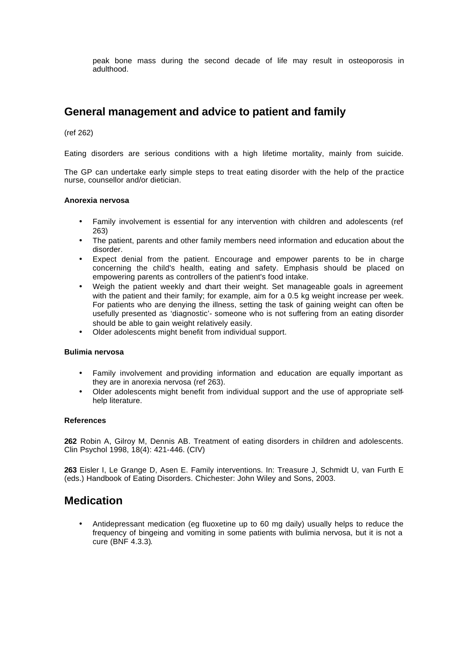peak bone mass during the second decade of life may result in osteoporosis in adulthood.

### **General management and advice to patient and family**

(ref 262)

Eating disorders are serious conditions with a high lifetime mortality, mainly from suicide.

The GP can undertake early simple steps to treat eating disorder with the help of the practice nurse, counsellor and/or dietician.

#### **Anorexia nervosa**

- Family involvement is essential for any intervention with children and adolescents (ref 263)
- The patient, parents and other family members need information and education about the disorder.
- Expect denial from the patient. Encourage and empower parents to be in charge concerning the child's health, eating and safety. Emphasis should be placed on empowering parents as controllers of the patient's food intake.
- Weigh the patient weekly and chart their weight. Set manageable goals in agreement with the patient and their family; for example, aim for a 0.5 kg weight increase per week. For patients who are denying the illness, setting the task of gaining weight can often be usefully presented as 'diagnostic'- someone who is not suffering from an eating disorder should be able to gain weight relatively easily.
- Older adolescents might benefit from individual support.

#### **Bulimia nervosa**

- Family involvement and providing information and education are equally important as they are in anorexia nervosa (ref 263).
- Older adolescents might benefit from individual support and the use of appropriate selfhelp literature.

#### **References**

**262** Robin A, Gilroy M, Dennis AB. Treatment of eating disorders in children and adolescents. Clin Psychol 1998, 18(4): 421-446. (CIV)

**263** Eisler I, Le Grange D, Asen E. Family interventions. In: Treasure J, Schmidt U, van Furth E (eds.) Handbook of Eating Disorders. Chichester: John Wiley and Sons, 2003.

### **Medication**

• Antidepressant medication (eg fluoxetine up to 60 mg daily) usually helps to reduce the frequency of bingeing and vomiting in some patients with bulimia nervosa, but it is not a cure (BNF 4.3.3).